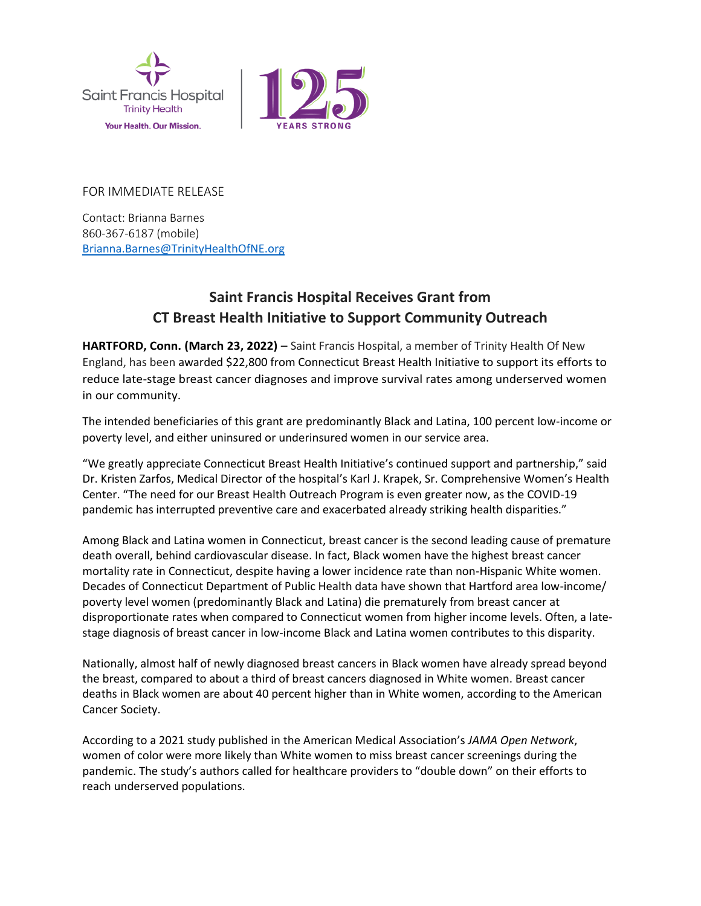



FOR IMMEDIATE RELEASE

Contact: Brianna Barnes 860-367-6187 (mobile) [Brianna.Barnes@TrinityHealthOfNE.org](mailto:Brianna.Barnes@TrinityHealthOfNE.org)

## **Saint Francis Hospital Receives Grant from CT Breast Health Initiative to Support Community Outreach**

HARTFORD, Conn. (March 23, 2022) – Saint Francis Hospital, a member of Trinity Health Of New England, has been awarded \$22,800 from Connecticut Breast Health Initiative to support its efforts to reduce late-stage breast cancer diagnoses and improve survival rates among underserved women in our community.

The intended beneficiaries of this grant are predominantly Black and Latina, 100 percent low-income or poverty level, and either uninsured or underinsured women in our service area.

"We greatly appreciate Connecticut Breast Health Initiative's continued support and partnership," said Dr. Kristen Zarfos, Medical Director of the hospital's Karl J. Krapek, Sr. Comprehensive Women's Health Center. "The need for our Breast Health Outreach Program is even greater now, as the COVID-19 pandemic has interrupted preventive care and exacerbated already striking health disparities."

Among Black and Latina women in Connecticut, breast cancer is the second leading cause of premature death overall, behind cardiovascular disease. In fact, Black women have the highest breast cancer mortality rate in Connecticut, despite having a lower incidence rate than non-Hispanic White women. Decades of Connecticut Department of Public Health data have shown that Hartford area low-income/ poverty level women (predominantly Black and Latina) die prematurely from breast cancer at disproportionate rates when compared to Connecticut women from higher income levels. Often, a latestage diagnosis of breast cancer in low-income Black and Latina women contributes to this disparity.

Nationally, almost half of newly diagnosed breast cancers in Black women have already spread beyond the breast, compared to about a third of breast cancers diagnosed in White women. Breast cancer deaths in Black women are about 40 percent higher than in White women, according to the American Cancer Society.

According to a 2021 study published in the American Medical Association's *JAMA Open Network*, women of color were more likely than White women to miss breast cancer screenings during the pandemic. The study's authors called for healthcare providers to "double down" on their efforts to reach underserved populations.